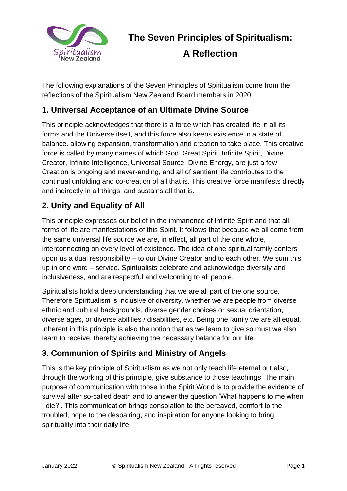

**A Reflection**

The following explanations of the Seven Principles of Spiritualism come from the reflections of the Spiritualism New Zealand Board members in 2020.

#### **1. Universal Acceptance of an Ultimate Divine Source**

This principle acknowledges that there is a force which has created life in all its forms and the Universe itself, and this force also keeps existence in a state of balance. allowing expansion, transformation and creation to take place. This creative force is called by many names of which God, Great Spirit, Infinite Spirit, Divine Creator, Infinite Intelligence, Universal Source, Divine Energy, are just a few. Creation is ongoing and never-ending, and all of sentient life contributes to the continual unfolding and co-creation of all that is. This creative force manifests directly and indirectly in all things, and sustains all that is.

#### **2. Unity and Equality of All**

This principle expresses our belief in the immanence of Infinite Spirit and that all forms of life are manifestations of this Spirit. It follows that because we all come from the same universal life source we are, in effect, all part of the one whole, interconnecting on every level of existence. The idea of one spiritual family confers upon us a dual responsibility – to our Divine Creator and to each other. We sum this up in one word – service. Spiritualists celebrate and acknowledge diversity and inclusiveness, and are respectful and welcoming to all people.

Spiritualists hold a deep understanding that we are all part of the one source. Therefore Spiritualism is inclusive of diversity, whether we are people from diverse ethnic and cultural backgrounds, diverse gender choices or sexual orientation, diverse ages, or diverse abilities / disabilities, etc. Being one family we are all equal. Inherent in this principle is also the notion that as we learn to give so must we also learn to receive, thereby achieving the necessary balance for our life.

## **3. Communion of Spirits and Ministry of Angels**

This is the key principle of Spiritualism as we not only teach life eternal but also, through the working of this principle, give substance to those teachings. The main purpose of communication with those in the Spirit World is to provide the evidence of survival after so-called death and to answer the question 'What happens to me when I die?'. This communication brings consolation to the bereaved, comfort to the troubled, hope to the despairing, and inspiration for anyone looking to bring spirituality into their daily life.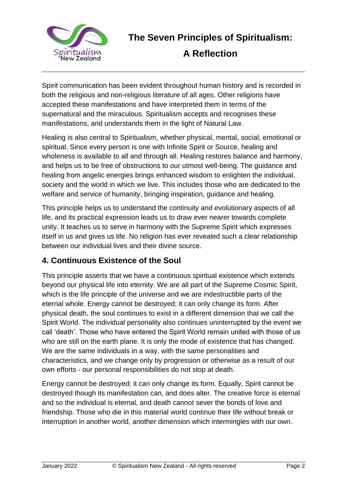

# **A Reflection**

Spirit communication has been evident throughout human history and is recorded in both the religious and non-religious literature of all ages. Other religions have accepted these manifestations and have interpreted them in terms of the supernatural and the miraculous. Spiritualism accepts and recognises these manifestations, and understands them in the light of Natural Law.

Healing is also central to Spiritualism, whether physical, mental, social, emotional or spiritual. Since every person is one with Infinite Spirit or Source, healing and wholeness is available to all and through all. Healing restores balance and harmony, and helps us to be free of obstructions to our utmost well-being. The guidance and healing from angelic energies brings enhanced wisdom to enlighten the individual, society and the world in which we live. This includes those who are dedicated to the welfare and service of humanity, bringing inspiration, guidance and healing.

This principle helps us to understand the continuity and evolutionary aspects of all life, and its practical expression leads us to draw ever nearer towards complete unity. It teaches us to serve in harmony with the Supreme Spirit which expresses itself in us and gives us life. No religion has ever revealed such a clear relationship between our individual lives and their divine source.

## **4. Continuous Existence of the Soul**

This principle asserts that we have a continuous spiritual existence which extends beyond our physical life into eternity. We are all part of the Supreme Cosmic Spirit, which is the life principle of the universe and we are indestructible parts of the eternal whole. Energy cannot be destroyed; it can only change its form. After physical death, the soul continues to exist in a different dimension that we call the Spirit World. The individual personality also continues uninterrupted by the event we call 'death'. Those who have entered the Spirit World remain united with those of us who are still on the earth plane. It is only the mode of existence that has changed. We are the same individuals in a way, with the same personalities and characteristics, and we change only by progression or otherwise as a result of our own efforts - our personal responsibilities do not stop at death.

Energy cannot be destroyed; it can only change its form. Equally, Spirit cannot be destroyed though its manifestation can, and does alter. The creative force is eternal and so the individual is eternal, and death cannot sever the bonds of love and friendship. Those who die in this material world continue their life without break or interruption in another world, another dimension which intermingles with our own.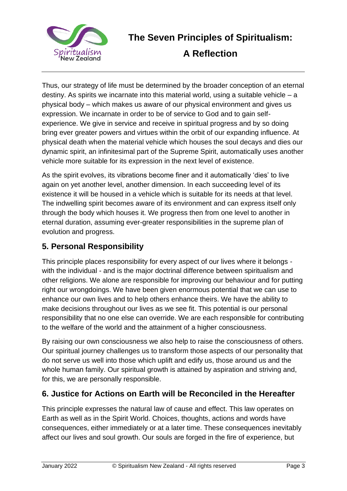

**A Reflection**

Thus, our strategy of life must be determined by the broader conception of an eternal destiny. As spirits we incarnate into this material world, using a suitable vehicle – a physical body – which makes us aware of our physical environment and gives us expression. We incarnate in order to be of service to God and to gain selfexperience. We give in service and receive in spiritual progress and by so doing bring ever greater powers and virtues within the orbit of our expanding influence. At physical death when the material vehicle which houses the soul decays and dies our dynamic spirit, an infinitesimal part of the Supreme Spirit, automatically uses another vehicle more suitable for its expression in the next level of existence.

As the spirit evolves, its vibrations become finer and it automatically 'dies' to live again on yet another level, another dimension. In each succeeding level of its existence it will be housed in a vehicle which is suitable for its needs at that level. The indwelling spirit becomes aware of its environment and can express itself only through the body which houses it. We progress then from one level to another in eternal duration, assuming ever-greater responsibilities in the supreme plan of evolution and progress.

#### **5. Personal Responsibility**

This principle places responsibility for every aspect of our lives where it belongs with the individual - and is the major doctrinal difference between spiritualism and other religions. We alone are responsible for improving our behaviour and for putting right our wrongdoings. We have been given enormous potential that we can use to enhance our own lives and to help others enhance theirs. We have the ability to make decisions throughout our lives as we see fit. This potential is our personal responsibility that no one else can override. We are each responsible for contributing to the welfare of the world and the attainment of a higher consciousness.

By raising our own consciousness we also help to raise the consciousness of others. Our spiritual journey challenges us to transform those aspects of our personality that do not serve us well into those which uplift and edify us, those around us and the whole human family. Our spiritual growth is attained by aspiration and striving and, for this, we are personally responsible.

#### **6. Justice for Actions on Earth will be Reconciled in the Hereafter**

This principle expresses the natural law of cause and effect. This law operates on Earth as well as in the Spirit World. Choices, thoughts, actions and words have consequences, either immediately or at a later time. These consequences inevitably affect our lives and soul growth. Our souls are forged in the fire of experience, but